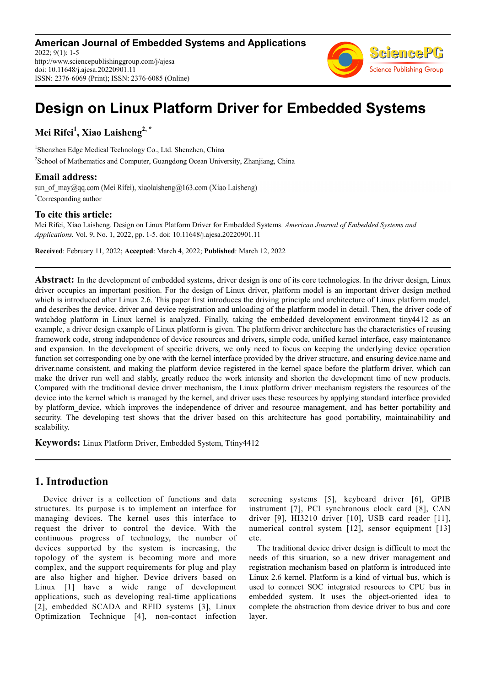**American Journal of Embedded Systems and Applications** 2022; 9(1): 1-5 http://www.sciencepublishinggroup.com/j/ajesa doi: 10.11648/j.ajesa.20220901.11 ISSN: 2376-6069 (Print); ISSN: 2376-6085 (Online)



# **Design on Linux Platform Driver for Embedded Systems**

**Mei Rifei<sup>1</sup> , Xiao Laisheng2, \***

1 Shenzhen Edge Medical Technology Co., Ltd. Shenzhen, China <sup>2</sup>School of Mathematics and Computer, Guangdong Ocean University, Zhanjiang, China

### **Email address:**

sun of may@qq.com (Mei Rifei), xiaolaisheng@163.com (Xiao Laisheng) \*Corresponding author

### **To cite this article:**

Mei Rifei, Xiao Laisheng. Design on Linux Platform Driver for Embedded Systems. *American Journal of Embedded Systems and Applications.* Vol. 9, No. 1, 2022, pp. 1-5. doi: 10.11648/j.ajesa.20220901.11

**Received**: February 11, 2022; **Accepted**: March 4, 2022; **Published**: March 12, 2022

**Abstract:** In the development of embedded systems, driver design is one of its core technologies. In the driver design, Linux driver occupies an important position. For the design of Linux driver, platform model is an important driver design method which is introduced after Linux 2.6. This paper first introduces the driving principle and architecture of Linux platform model, and describes the device, driver and device registration and unloading of the platform model in detail. Then, the driver code of watchdog platform in Linux kernel is analyzed. Finally, taking the embedded development environment tiny4412 as an example, a driver design example of Linux platform is given. The platform driver architecture has the characteristics of reusing framework code, strong independence of device resources and drivers, simple code, unified kernel interface, easy maintenance and expansion. In the development of specific drivers, we only need to focus on keeping the underlying device operation function set corresponding one by one with the kernel interface provided by the driver structure, and ensuring device.name and driver.name consistent, and making the platform device registered in the kernel space before the platform driver, which can make the driver run well and stably, greatly reduce the work intensity and shorten the development time of new products. Compared with the traditional device driver mechanism, the Linux platform driver mechanism registers the resources of the device into the kernel which is managed by the kernel, and driver uses these resources by applying standard interface provided by platform device, which improves the independence of driver and resource management, and has better portability and security. The developing test shows that the driver based on this architecture has good portability, maintainability and scalability.

**Keywords:** Linux Platform Driver, Embedded System, Ttiny4412

# **1. Introduction**

Device driver is a collection of functions and data structures. Its purpose is to implement an interface for managing devices. The kernel uses this interface to request the driver to control the device. With the continuous progress of technology, the number of devices supported by the system is increasing, the topology of the system is becoming more and more complex, and the support requirements for plug and play are also higher and higher. Device drivers based on Linux [1] have a wide range of development applications, such as developing real-time applications [2], embedded SCADA and RFID systems [3], Linux Optimization Technique [4], non-contact infection screening systems [5], keyboard driver [6], GPIB instrument [7], PCI synchronous clock card [8], CAN driver [9], HI3210 driver [10], USB card reader [11], numerical control system [12], sensor equipment [13] etc.

The traditional device driver design is difficult to meet the needs of this situation, so a new driver management and registration mechanism based on platform is introduced into Linux 2.6 kernel. Platform is a kind of virtual bus, which is used to connect SOC integrated resources to CPU bus in embedded system. It uses the object-oriented idea to complete the abstraction from device driver to bus and core layer.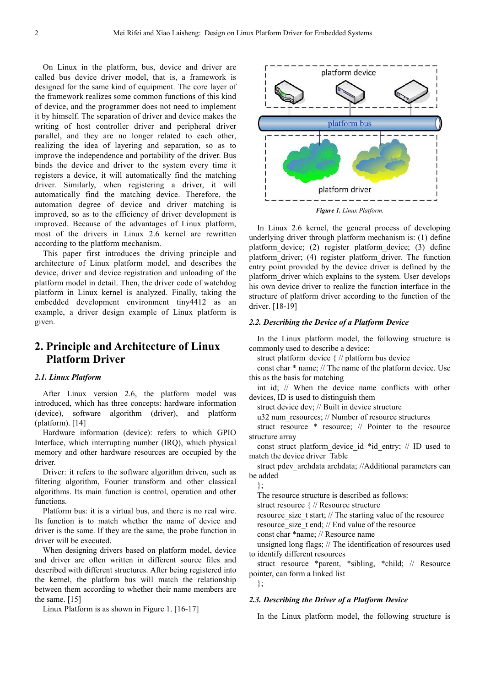On Linux in the platform, bus, device and driver are called bus device driver model, that is, a framework is designed for the same kind of equipment. The core layer of the framework realizes some common functions of this kind of device, and the programmer does not need to implement it by himself. The separation of driver and device makes the writing of host controller driver and peripheral driver parallel, and they are no longer related to each other, realizing the idea of layering and separation, so as to improve the independence and portability of the driver. Bus binds the device and driver to the system every time it registers a device, it will automatically find the matching driver. Similarly, when registering a driver, it will automatically find the matching device. Therefore, the automation degree of device and driver matching is improved, so as to the efficiency of driver development is improved. Because of the advantages of Linux platform, most of the drivers in Linux 2.6 kernel are rewritten according to the platform mechanism.

This paper first introduces the driving principle and architecture of Linux platform model, and describes the device, driver and device registration and unloading of the platform model in detail. Then, the driver code of watchdog platform in Linux kernel is analyzed. Finally, taking the embedded development environment tiny4412 as an example, a driver design example of Linux platform is given.

# **2. Principle and Architecture of Linux Platform Driver**

### *2.1. Linux Platform*

After Linux version 2.6, the platform model was introduced, which has three concepts: hardware information (device), software algorithm (driver), and platform (platform). [14]

Hardware information (device): refers to which GPIO Interface, which interrupting number (IRQ), which physical memory and other hardware resources are occupied by the driver.

Driver: it refers to the software algorithm driven, such as filtering algorithm, Fourier transform and other classical algorithms. Its main function is control, operation and other functions.

Platform bus: it is a virtual bus, and there is no real wire. Its function is to match whether the name of device and driver is the same. If they are the same, the probe function in driver will be executed.

When designing drivers based on platform model, device and driver are often written in different source files and described with different structures. After being registered into the kernel, the platform bus will match the relationship between them according to whether their name members are the same. [15]

Linux Platform is as shown in Figure 1. [16-17]



*Figure 1. Linux Platform.* 

In Linux 2.6 kernel, the general process of developing underlying driver through platform mechanism is: (1) define platform\_device; (2) register platform\_device; (3) define platform driver; (4) register platform driver. The function entry point provided by the device driver is defined by the platform\_driver which explains to the system. User develops his own device driver to realize the function interface in the structure of platform driver according to the function of the driver. [18-19]

#### *2.2. Describing the Device of a Platform Device*

In the Linux platform model, the following structure is commonly used to describe a device:

struct platform device { // platform bus device

const char \* name; // The name of the platform device. Use this as the basis for matching

int id; // When the device name conflicts with other devices, ID is used to distinguish them

struct device dev; // Built in device structure

u32 num\_resources; // Number of resource structures

struct resource \* resource; // Pointer to the resource structure array

const struct platform device id \*id entry; // ID used to match the device driver\_Table

struct pdev archdata archdata; //Additional parameters can be added

};

The resource structure is described as follows:

struct resource { // Resource structure

resource size t start; // The starting value of the resource

resource size t end; // End value of the resource

const char \*name; // Resource name

unsigned long flags; // The identification of resources used to identify different resources

struct resource \*parent, \*sibling, \*child; // Resource pointer, can form a linked list

};

#### *2.3. Describing the Driver of a Platform Device*

In the Linux platform model, the following structure is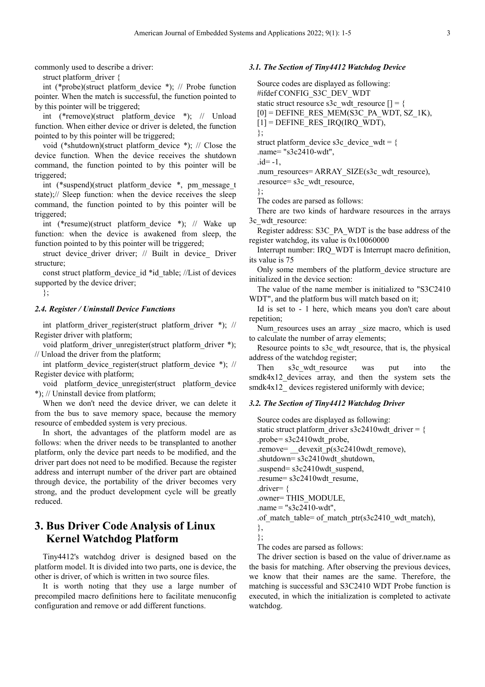commonly used to describe a driver:

struct platform\_driver {

int (\*probe)(struct platform\_device \*); // Probe function pointer. When the match is successful, the function pointed to by this pointer will be triggered;

int (\*remove)(struct platform\_device \*); // Unload function. When either device or driver is deleted, the function pointed to by this pointer will be triggered;

void (\*shutdown)(struct platform\_device \*); // Close the device function. When the device receives the shutdown command, the function pointed to by this pointer will be triggered;

int (\*suspend)(struct platform\_device \*, pm\_message\_t state);// Sleep function: when the device receives the sleep command, the function pointed to by this pointer will be triggered;

int (\*resume)(struct platform\_device \*); // Wake up function: when the device is awakened from sleep, the function pointed to by this pointer will be triggered;

struct device driver driver; // Built in device Driver structure;

const struct platform device id \*id\_table; //List of devices supported by the device driver;

};

#### *2.4. Register / Uninstall Device Functions*

int platform driver register(struct platform driver \*); // Register driver with platform;

void platform driver unregister(struct platform driver \*); // Unload the driver from the platform;

int platform\_device\_register(struct platform\_device \*); // Register device with platform;

void platform device unregister(struct platform device \*); // Uninstall device from platform;

When we don't need the device driver, we can delete it from the bus to save memory space, because the memory resource of embedded system is very precious.

In short, the advantages of the platform model are as follows: when the driver needs to be transplanted to another platform, only the device part needs to be modified, and the driver part does not need to be modified. Because the register address and interrupt number of the driver part are obtained through device, the portability of the driver becomes very strong, and the product development cycle will be greatly reduced.

# **3. Bus Driver Code Analysis of Linux Kernel Watchdog Platform**

Tiny4412's watchdog driver is designed based on the platform model. It is divided into two parts, one is device, the other is driver, of which is written in two source files.

It is worth noting that they use a large number of precompiled macro definitions here to facilitate menuconfig configuration and remove or add different functions.

### *3.1. The Section of Tiny4412 Watchdog Device*

Source codes are displayed as following: #ifdef CONFIG\_S3C\_DEV\_WDT static struct resource s3c\_wdt\_resource  $[] = \{$  $[0]$  = DEFINE\_RES\_MEM(S3C\_PA\_WDT, SZ\_1K),  $[1]$  = DEFINE\_RES\_IRQ(IRQ\_WDT), }; struct platform device s3c device wdt =  $\{$ .name= "s3c2410-wdt",  $id=-1$ , .num\_resources= ARRAY\_SIZE(s3c\_wdt\_resource), .resource= s3c\_wdt\_resource, };

The codes are parsed as follows:

There are two kinds of hardware resources in the arrays 3c\_wdt\_resource:

Register address: S3C\_PA\_WDT is the base address of the register watchdog, its value is 0x10060000

Interrupt number: IRQ\_WDT is Interrupt macro definition, its value is 75

Only some members of the platform\_device structure are initialized in the device section:

The value of the name member is initialized to "S3C2410 WDT", and the platform bus will match based on it;

Id is set to - 1 here, which means you don't care about repetition;

Num resources uses an array size macro, which is used to calculate the number of array elements;

Resource points to s3c\_wdt\_resource, that is, the physical address of the watchdog register;

Then s3c wdt resource was put into the smdk4x12 devices array, and then the system sets the smdk4x12 devices registered uniformly with device;

### *3.2. The Section of Tiny4412 Watchdog Driver*

Source codes are displayed as following: static struct platform\_driver s3c2410wdt\_driver = { .probe= $s3c2410$ wdt probe, .remove= \_\_devexit\_p(s3c2410wdt\_remove), .shutdown= s3c2410wdt\_shutdown, .suspend= s3c2410wdt\_suspend, .resume= s3c2410wdt\_resume, .driver= { .owner= THIS\_MODULE,  $name = "s3c2410-wdt",$ .of match table= of match ptr(s3c2410 wdt match), },

};

The codes are parsed as follows:

The driver section is based on the value of driver.name as the basis for matching. After observing the previous devices, we know that their names are the same. Therefore, the matching is successful and S3C2410 WDT Probe function is executed, in which the initialization is completed to activate watchdog.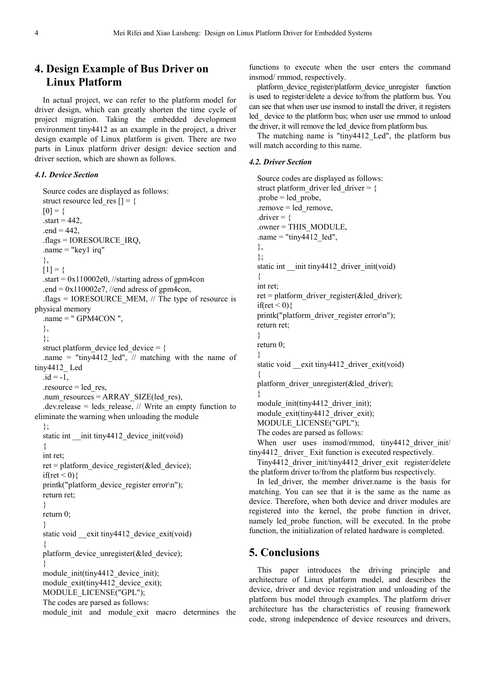# **4. Design Example of Bus Driver on Linux Platform**

In actual project, we can refer to the platform model for driver design, which can greatly shorten the time cycle of project migration. Taking the embedded development environment tiny4412 as an example in the project, a driver design example of Linux platform is given. There are two parts in Linux platform driver design: device section and driver section, which are shown as follows.

### *4.1. Device Section*

```
Source codes are displayed as follows:
  struct resource led res | \cdot | = \{[0] = \{\text{.start} = 442.end = 442,
  .flags = IORESOURCE_IRQ,
  .name = "key1 irq"
  },
  [1] = \{\text{start} = 0 \times 110002e0, //starting adress of gpm4con
  .end = 0x110002e7, //end adress of gpm4con,
  .flags = IORESOURCE_MEM, // The type of resource is
physical memory
  .name = " GPM4CON ",
  },
  };
  struct platform device led device = \{.name = "tiny4412 led", \pi matching with the name of
tiny4412_ Led
  id = -1,
  resource = ledres,
  .num_resources = ARRAY_SIZE(led_res),
  .dev.release = leds release, // Write an empty function to
eliminate the warning when unloading the module
  };
  static int __init tiny4412_device_init(void)
  {
  int ret;
  ret = platform_device_register(&led_device);
  if(ret \leq 0){
  printk("platform_device_register error\n");
  return ret;
  }
  return 0;
  }
  static void exit tiny4412 device exit(void)
  {
  platform device unregister(&led device);
  }
  module_init(tiny4412_device_init);
  module_exit(tiny4412_device_exit);
  MODULE_LICENSE("GPL");
  The codes are parsed as follows:
  module init and module exit macro determines the
```
functions to execute when the user enters the command insmod/ rmmod, respectively.

platform device register/platform device unregister function is used to register/delete a device to/from the platform bus. You can see that when user use insmod to install the driver, it registers led device to the platform bus; when user use rmmod to unload the driver, it will remove the led\_device from platform bus.

The matching name is "tiny4412 Led", the platform bus will match according to this name.

#### *4.2. Driver Section*

```
Source codes are displayed as follows: 
  struct platform driver led driver = {
  probe = led probe,.remove = led_remove, 
  .driver = {
  .owner = THIS_MODULE, 
  .name = "tiny4412 led",
  }, 
  }; 
  static int __init tiny4412_driver_init(void)
  { 
  int ret; 
  ret = platform_driver_register(&led_driver);
  if(ret \leq 0){
  printk("platform_driver_register error\n");
  return ret; 
  } 
  return 0; 
  } 
  static void exit tiny4412 driver exit(void)
  { 
  platform driver unregister(&led driver);
  } 
  module_init(tiny4412_driver_init); 
  module_exit(tiny4412_driver_exit);
  MODULE_LICENSE("GPL"); 
  The codes are parsed as follows: 
  When user uses insmod/rmmod, tiny4412 driver init/
tiny4412 driver Exit function is executed respectively.
```
Tiny4412\_driver\_init/tiny4412\_driver\_exit register/delete the platform driver to/from the platform bus respectively.

In led\_driver, the member driver.name is the basis for matching. You can see that it is the same as the name as device. Therefore, when both device and driver modules are registered into the kernel, the probe function in driver, namely led\_probe function, will be executed. In the probe function, the initialization of related hardware is completed.

## **5. Conclusions**

This paper introduces the driving principle and architecture of Linux platform model, and describes the device, driver and device registration and unloading of the platform bus model through examples. The platform driver architecture has the characteristics of reusing framework code, strong independence of device resources and drivers,